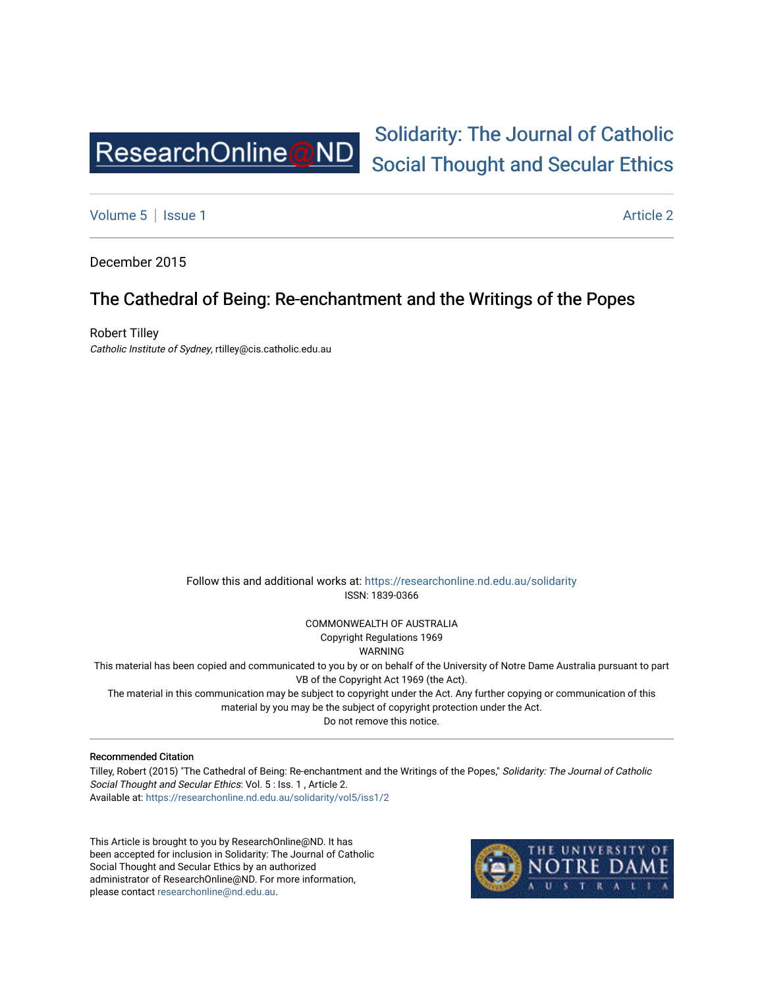

# [Solidarity: The Journal of Catholic](https://researchonline.nd.edu.au/solidarity)  [Social Thought and Secular Ethics](https://researchonline.nd.edu.au/solidarity)

[Volume 5](https://researchonline.nd.edu.au/solidarity/vol5) | [Issue 1](https://researchonline.nd.edu.au/solidarity/vol5/iss1) Article 2

December 2015

## The Cathedral of Being: Re-enchantment and the Writings of the Popes

Robert Tilley Catholic Institute of Sydney, rtilley@cis.catholic.edu.au

> Follow this and additional works at: [https://researchonline.nd.edu.au/solidarity](https://researchonline.nd.edu.au/solidarity?utm_source=researchonline.nd.edu.au%2Fsolidarity%2Fvol5%2Fiss1%2F2&utm_medium=PDF&utm_campaign=PDFCoverPages)  ISSN: 1839-0366

> > COMMONWEALTH OF AUSTRALIA Copyright Regulations 1969

WARNING

This material has been copied and communicated to you by or on behalf of the University of Notre Dame Australia pursuant to part VB of the Copyright Act 1969 (the Act).

The material in this communication may be subject to copyright under the Act. Any further copying or communication of this material by you may be the subject of copyright protection under the Act.

Do not remove this notice.

Recommended Citation

Tilley, Robert (2015) "The Cathedral of Being: Re-enchantment and the Writings of the Popes," Solidarity: The Journal of Catholic Social Thought and Secular Ethics: Vol. 5 : Iss. 1 , Article 2. Available at: [https://researchonline.nd.edu.au/solidarity/vol5/iss1/2](https://researchonline.nd.edu.au/solidarity/vol5/iss1/2?utm_source=researchonline.nd.edu.au%2Fsolidarity%2Fvol5%2Fiss1%2F2&utm_medium=PDF&utm_campaign=PDFCoverPages) 

This Article is brought to you by ResearchOnline@ND. It has been accepted for inclusion in Solidarity: The Journal of Catholic Social Thought and Secular Ethics by an authorized administrator of ResearchOnline@ND. For more information, please contact [researchonline@nd.edu.au.](mailto:researchonline@nd.edu.au)

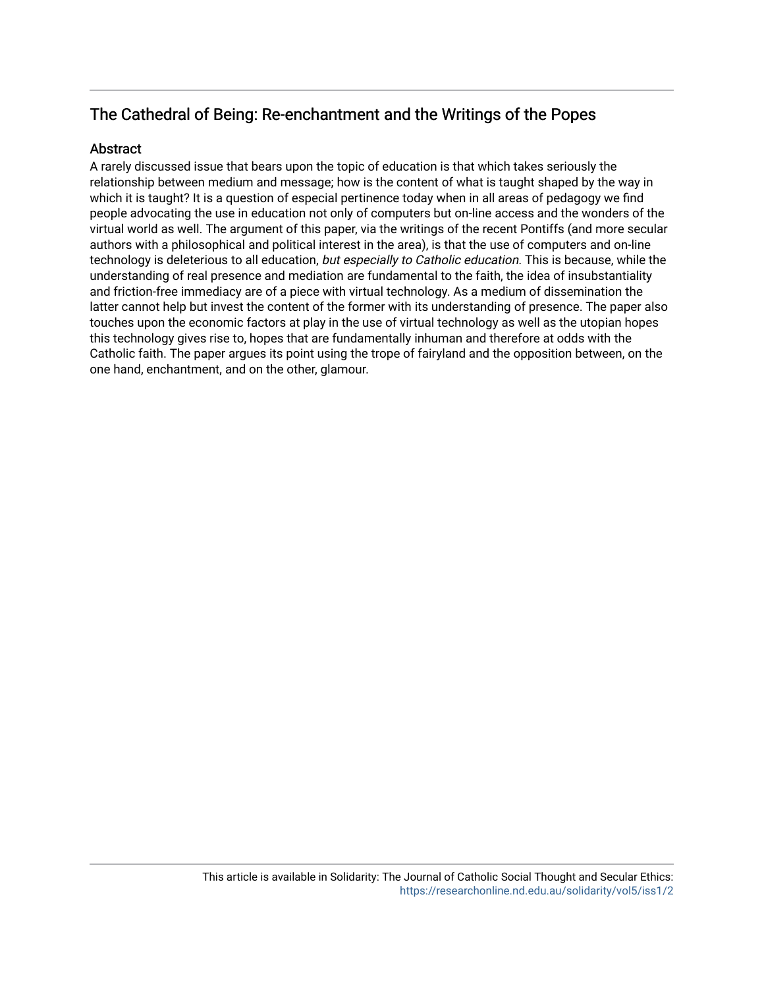## The Cathedral of Being: Re-enchantment and the Writings of the Popes

## Abstract

A rarely discussed issue that bears upon the topic of education is that which takes seriously the relationship between medium and message; how is the content of what is taught shaped by the way in which it is taught? It is a question of especial pertinence today when in all areas of pedagogy we find people advocating the use in education not only of computers but on-line access and the wonders of the virtual world as well. The argument of this paper, via the writings of the recent Pontiffs (and more secular authors with a philosophical and political interest in the area), is that the use of computers and on-line technology is deleterious to all education, but especially to Catholic education. This is because, while the understanding of real presence and mediation are fundamental to the faith, the idea of insubstantiality and friction-free immediacy are of a piece with virtual technology. As a medium of dissemination the latter cannot help but invest the content of the former with its understanding of presence. The paper also touches upon the economic factors at play in the use of virtual technology as well as the utopian hopes this technology gives rise to, hopes that are fundamentally inhuman and therefore at odds with the Catholic faith. The paper argues its point using the trope of fairyland and the opposition between, on the one hand, enchantment, and on the other, glamour.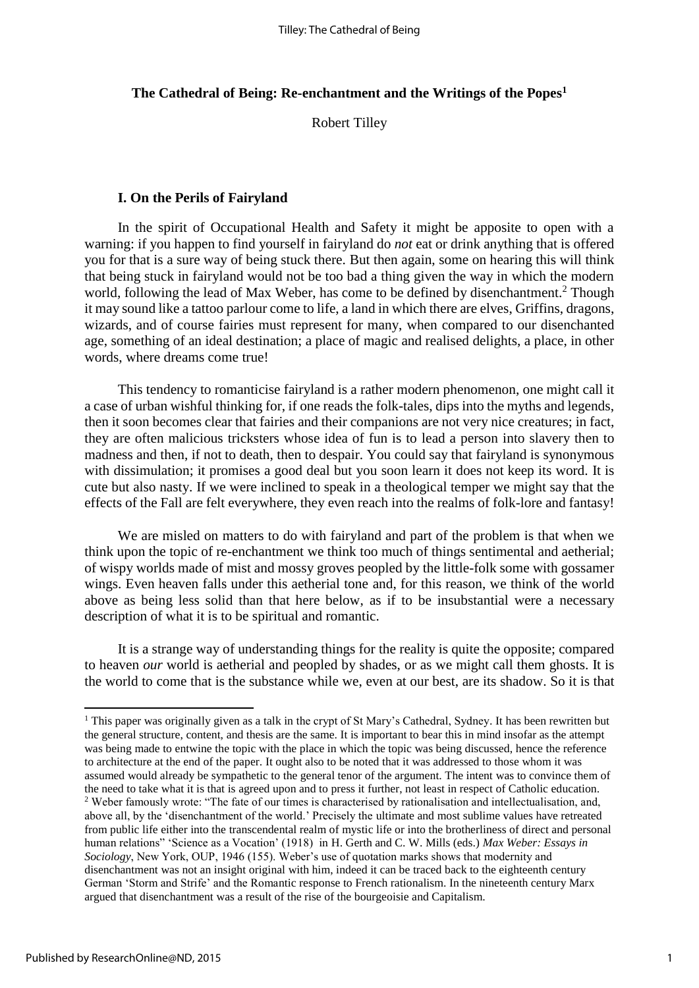## **The Cathedral of Being: Re-enchantment and the Writings of the Popes<sup>1</sup>**

Robert Tilley

## **I. On the Perils of Fairyland**

In the spirit of Occupational Health and Safety it might be apposite to open with a warning: if you happen to find yourself in fairyland do *not* eat or drink anything that is offered you for that is a sure way of being stuck there. But then again, some on hearing this will think that being stuck in fairyland would not be too bad a thing given the way in which the modern world, following the lead of Max Weber, has come to be defined by disenchantment.<sup>2</sup> Though it may sound like a tattoo parlour come to life, a land in which there are elves, Griffins, dragons, wizards, and of course fairies must represent for many, when compared to our disenchanted age, something of an ideal destination; a place of magic and realised delights, a place, in other words, where dreams come true!

This tendency to romanticise fairyland is a rather modern phenomenon, one might call it a case of urban wishful thinking for, if one reads the folk-tales, dips into the myths and legends, then it soon becomes clear that fairies and their companions are not very nice creatures; in fact, they are often malicious tricksters whose idea of fun is to lead a person into slavery then to madness and then, if not to death, then to despair. You could say that fairyland is synonymous with dissimulation; it promises a good deal but you soon learn it does not keep its word. It is cute but also nasty. If we were inclined to speak in a theological temper we might say that the effects of the Fall are felt everywhere, they even reach into the realms of folk-lore and fantasy!

We are misled on matters to do with fairyland and part of the problem is that when we think upon the topic of re-enchantment we think too much of things sentimental and aetherial; of wispy worlds made of mist and mossy groves peopled by the little-folk some with gossamer wings. Even heaven falls under this aetherial tone and, for this reason, we think of the world above as being less solid than that here below, as if to be insubstantial were a necessary description of what it is to be spiritual and romantic.

It is a strange way of understanding things for the reality is quite the opposite; compared to heaven *our* world is aetherial and peopled by shades, or as we might call them ghosts. It is the world to come that is the substance while we, even at our best, are its shadow. So it is that

**.** 

<sup>&</sup>lt;sup>1</sup> This paper was originally given as a talk in the crypt of St Mary's Cathedral, Sydney. It has been rewritten but the general structure, content, and thesis are the same. It is important to bear this in mind insofar as the attempt was being made to entwine the topic with the place in which the topic was being discussed, hence the reference to architecture at the end of the paper. It ought also to be noted that it was addressed to those whom it was assumed would already be sympathetic to the general tenor of the argument. The intent was to convince them of the need to take what it is that is agreed upon and to press it further, not least in respect of Catholic education. <sup>2</sup> Weber famously wrote: "The fate of our times is characterised by rationalisation and intellectualisation, and, above all, by the 'disenchantment of the world.' Precisely the ultimate and most sublime values have retreated from public life either into the transcendental realm of mystic life or into the brotherliness of direct and personal human relations" 'Science as a Vocation' (1918) in H. Gerth and C. W. Mills (eds.) *Max Weber: Essays in Sociology*, New York, OUP, 1946 (155). Weber's use of quotation marks shows that modernity and disenchantment was not an insight original with him, indeed it can be traced back to the eighteenth century German 'Storm and Strife' and the Romantic response to French rationalism. In the nineteenth century Marx argued that disenchantment was a result of the rise of the bourgeoisie and Capitalism.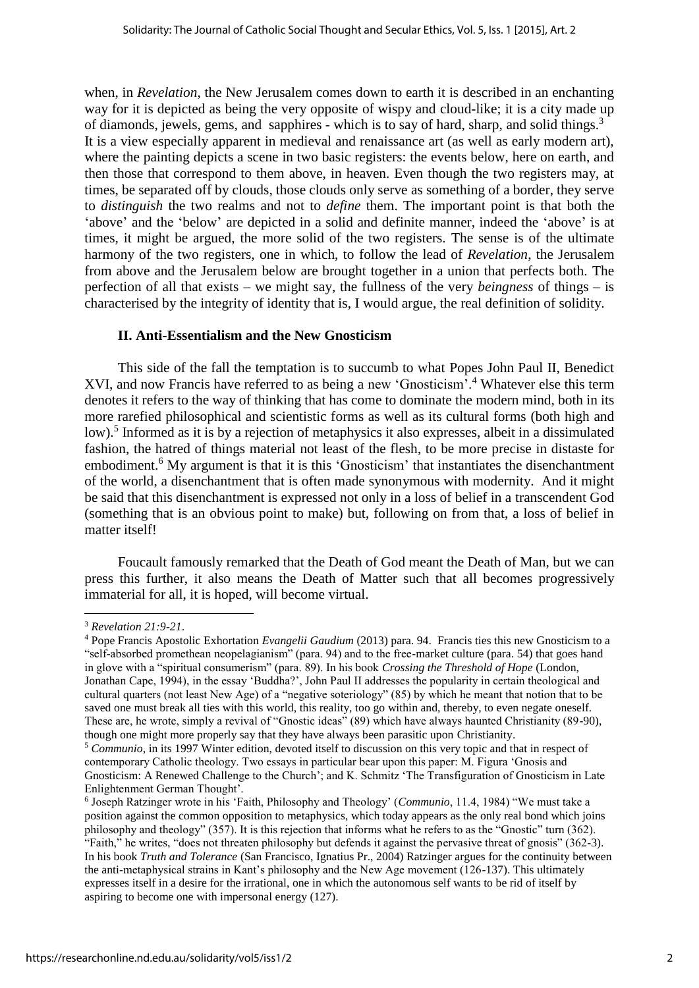when, in *Revelation*, the New Jerusalem comes down to earth it is described in an enchanting way for it is depicted as being the very opposite of wispy and cloud-like; it is a city made up of diamonds, jewels, gems, and sapphires - which is to say of hard, sharp, and solid things.<sup>3</sup> It is a view especially apparent in medieval and renaissance art (as well as early modern art), where the painting depicts a scene in two basic registers: the events below, here on earth, and then those that correspond to them above, in heaven. Even though the two registers may, at times, be separated off by clouds, those clouds only serve as something of a border, they serve to *distinguish* the two realms and not to *define* them. The important point is that both the 'above' and the 'below' are depicted in a solid and definite manner, indeed the 'above' is at times, it might be argued, the more solid of the two registers. The sense is of the ultimate harmony of the two registers, one in which, to follow the lead of *Revelation*, the Jerusalem from above and the Jerusalem below are brought together in a union that perfects both. The perfection of all that exists – we might say, the fullness of the very *beingness* of things – is characterised by the integrity of identity that is, I would argue, the real definition of solidity.

## **II. Anti-Essentialism and the New Gnosticism**

This side of the fall the temptation is to succumb to what Popes John Paul II, Benedict XVI, and now Francis have referred to as being a new 'Gnosticism'.<sup>4</sup> Whatever else this term denotes it refers to the way of thinking that has come to dominate the modern mind, both in its more rarefied philosophical and scientistic forms as well as its cultural forms (both high and low).<sup>5</sup> Informed as it is by a rejection of metaphysics it also expresses, albeit in a dissimulated fashion, the hatred of things material not least of the flesh, to be more precise in distaste for embodiment.<sup>6</sup> My argument is that it is this 'Gnosticism' that instantiates the disenchantment of the world, a disenchantment that is often made synonymous with modernity. And it might be said that this disenchantment is expressed not only in a loss of belief in a transcendent God (something that is an obvious point to make) but, following on from that, a loss of belief in matter itself!

Foucault famously remarked that the Death of God meant the Death of Man, but we can press this further, it also means the Death of Matter such that all becomes progressively immaterial for all, it is hoped, will become virtual.

<sup>3</sup> *Revelation 21:9-21*.

<sup>4</sup> Pope Francis Apostolic Exhortation *Evangelii Gaudium* (2013) para. 94. Francis ties this new Gnosticism to a "self-absorbed promethean neopelagianism" (para. 94) and to the free-market culture (para. 54) that goes hand in glove with a "spiritual consumerism" (para. 89). In his book *Crossing the Threshold of Hope* (London, Jonathan Cape, 1994), in the essay 'Buddha?', John Paul II addresses the popularity in certain theological and cultural quarters (not least New Age) of a "negative soteriology" (85) by which he meant that notion that to be saved one must break all ties with this world, this reality, too go within and, thereby, to even negate oneself. These are, he wrote, simply a revival of "Gnostic ideas" (89) which have always haunted Christianity (89-90), though one might more properly say that they have always been parasitic upon Christianity.

<sup>5</sup> *Communio*, in its 1997 Winter edition, devoted itself to discussion on this very topic and that in respect of contemporary Catholic theology. Two essays in particular bear upon this paper: M. Figura 'Gnosis and Gnosticism: A Renewed Challenge to the Church'; and K. Schmitz 'The Transfiguration of Gnosticism in Late Enlightenment German Thought'.

<sup>6</sup> Joseph Ratzinger wrote in his 'Faith, Philosophy and Theology' (*Communio*, 11.4, 1984) "We must take a position against the common opposition to metaphysics, which today appears as the only real bond which joins philosophy and theology" (357). It is this rejection that informs what he refers to as the "Gnostic" turn (362). "Faith," he writes, "does not threaten philosophy but defends it against the pervasive threat of gnosis" (362-3). In his book *Truth and Tolerance* (San Francisco, Ignatius Pr., 2004) Ratzinger argues for the continuity between the anti-metaphysical strains in Kant's philosophy and the New Age movement (126-137). This ultimately expresses itself in a desire for the irrational, one in which the autonomous self wants to be rid of itself by aspiring to become one with impersonal energy (127).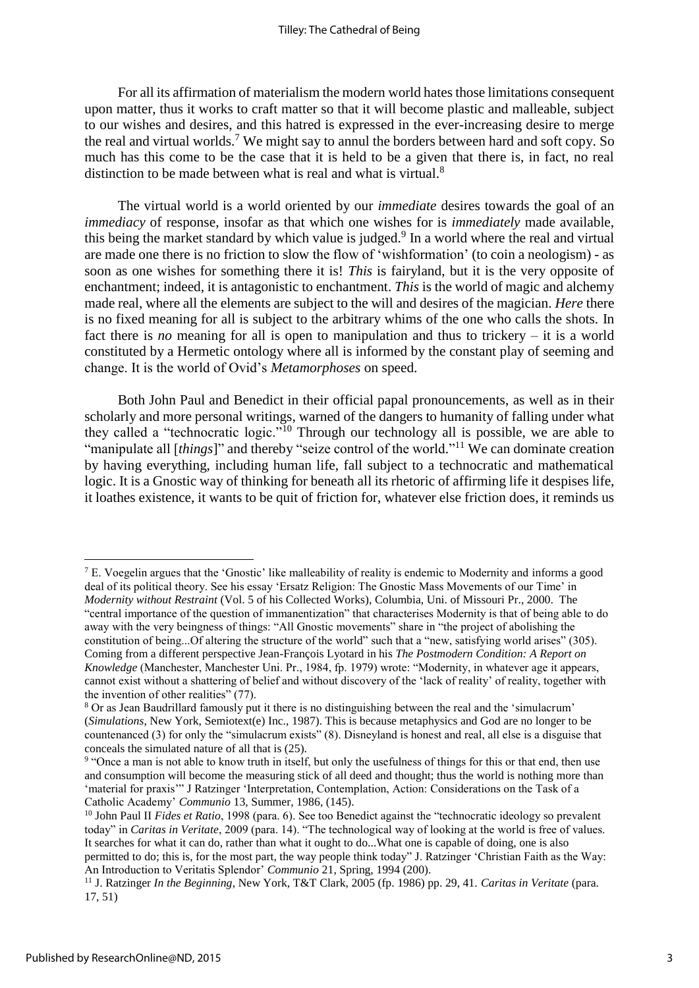For all its affirmation of materialism the modern world hates those limitations consequent upon matter, thus it works to craft matter so that it will become plastic and malleable, subject to our wishes and desires, and this hatred is expressed in the ever-increasing desire to merge the real and virtual worlds.<sup>7</sup> We might say to annul the borders between hard and soft copy. So much has this come to be the case that it is held to be a given that there is, in fact, no real distinction to be made between what is real and what is virtual.<sup>8</sup>

The virtual world is a world oriented by our *immediate* desires towards the goal of an *immediacy* of response, insofar as that which one wishes for is *immediately* made available, this being the market standard by which value is judged.<sup>9</sup> In a world where the real and virtual are made one there is no friction to slow the flow of 'wishformation' (to coin a neologism) - as soon as one wishes for something there it is! *This* is fairyland, but it is the very opposite of enchantment; indeed, it is antagonistic to enchantment. *This* is the world of magic and alchemy made real, where all the elements are subject to the will and desires of the magician. *Here* there is no fixed meaning for all is subject to the arbitrary whims of the one who calls the shots. In fact there is *no* meaning for all is open to manipulation and thus to trickery – it is a world constituted by a Hermetic ontology where all is informed by the constant play of seeming and change. It is the world of Ovid's *Metamorphoses* on speed.

Both John Paul and Benedict in their official papal pronouncements, as well as in their scholarly and more personal writings, warned of the dangers to humanity of falling under what they called a "technocratic logic."<sup>10</sup> Through our technology all is possible, we are able to "manipulate all [*things*]" and thereby "seize control of the world."<sup>11</sup> We can dominate creation by having everything, including human life, fall subject to a technocratic and mathematical logic. It is a Gnostic way of thinking for beneath all its rhetoric of affirming life it despises life, it loathes existence, it wants to be quit of friction for, whatever else friction does, it reminds us

<sup>7</sup> E. Voegelin argues that the 'Gnostic' like malleability of reality is endemic to Modernity and informs a good deal of its political theory. See his essay 'Ersatz Religion: The Gnostic Mass Movements of our Time' in *Modernity without Restraint* (Vol. 5 of his Collected Works), Columbia, Uni. of Missouri Pr., 2000. The "central importance of the question of immanentization" that characterises Modernity is that of being able to do away with the very beingness of things: "All Gnostic movements" share in "the project of abolishing the constitution of being...Of altering the structure of the world" such that a "new, satisfying world arises" (305). Coming from a different perspective Jean-François Lyotard in his *The Postmodern Condition: A Report on Knowledge* (Manchester, Manchester Uni. Pr., 1984, fp. 1979) wrote: "Modernity, in whatever age it appears, cannot exist without a shattering of belief and without discovery of the 'lack of reality' of reality, together with the invention of other realities" (77).

<sup>8</sup> Or as Jean Baudrillard famously put it there is no distinguishing between the real and the 'simulacrum' (*Simulations*, New York, Semiotext(e) Inc., 1987). This is because metaphysics and God are no longer to be countenanced (3) for only the "simulacrum exists" (8). Disneyland is honest and real, all else is a disguise that conceals the simulated nature of all that is (25).

<sup>&</sup>lt;sup>9</sup> "Once a man is not able to know truth in itself, but only the usefulness of things for this or that end, then use and consumption will become the measuring stick of all deed and thought; thus the world is nothing more than 'material for praxis'" J Ratzinger 'Interpretation, Contemplation, Action: Considerations on the Task of a Catholic Academy' *Communio* 13, Summer, 1986, (145).

<sup>&</sup>lt;sup>10</sup> John Paul II *Fides et Ratio*, 1998 (para. 6). See too Benedict against the "technocratic ideology so prevalent" today" in *Caritas in Veritate*, 2009 (para. 14). "The technological way of looking at the world is free of values. It searches for what it can do, rather than what it ought to do...What one is capable of doing, one is also permitted to do; this is, for the most part, the way people think today" J. Ratzinger 'Christian Faith as the Way: An Introduction to Veritatis Splendor' *Communio* 21, Spring, 1994 (200).

<sup>11</sup> J. Ratzinger *In the Beginning*, New York, T&T Clark, 2005 (fp. 1986) pp. 29, 41. *Caritas in Veritate* (para. 17, 51)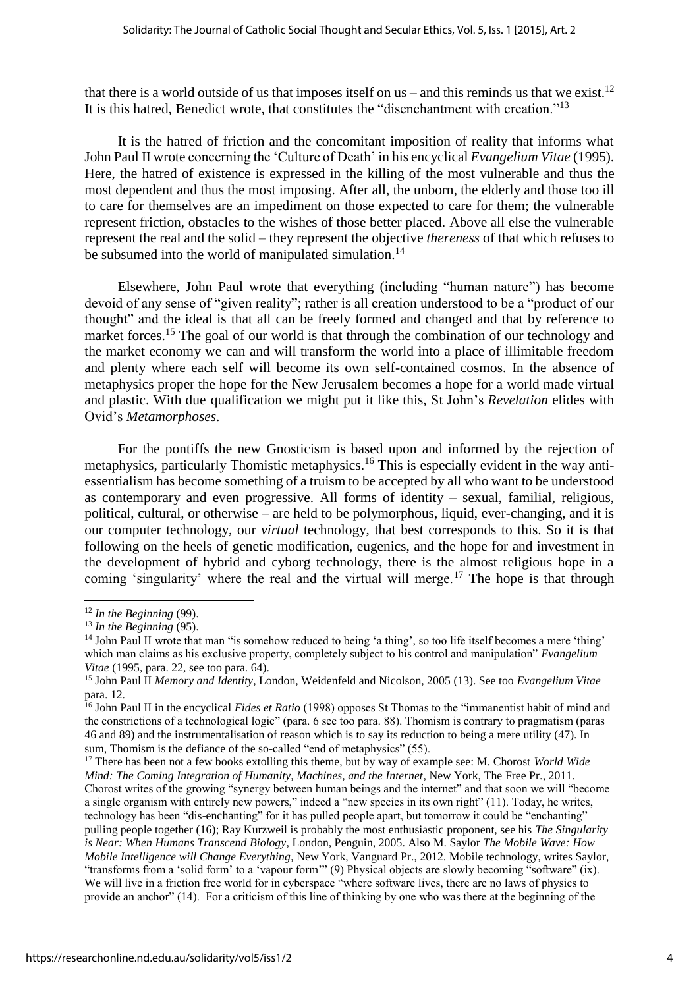that there is a world outside of us that imposes itself on us – and this reminds us that we exist.<sup>12</sup> It is this hatred, Benedict wrote, that constitutes the "disenchantment with creation."<sup>13</sup>

It is the hatred of friction and the concomitant imposition of reality that informs what John Paul II wrote concerning the 'Culture of Death' in his encyclical *Evangelium Vitae* (1995). Here, the hatred of existence is expressed in the killing of the most vulnerable and thus the most dependent and thus the most imposing. After all, the unborn, the elderly and those too ill to care for themselves are an impediment on those expected to care for them; the vulnerable represent friction, obstacles to the wishes of those better placed. Above all else the vulnerable represent the real and the solid – they represent the objective *thereness* of that which refuses to be subsumed into the world of manipulated simulation.<sup>14</sup>

Elsewhere, John Paul wrote that everything (including "human nature") has become devoid of any sense of "given reality"; rather is all creation understood to be a "product of our thought" and the ideal is that all can be freely formed and changed and that by reference to market forces.<sup>15</sup> The goal of our world is that through the combination of our technology and the market economy we can and will transform the world into a place of illimitable freedom and plenty where each self will become its own self-contained cosmos. In the absence of metaphysics proper the hope for the New Jerusalem becomes a hope for a world made virtual and plastic. With due qualification we might put it like this, St John's *Revelation* elides with Ovid's *Metamorphoses*.

For the pontiffs the new Gnosticism is based upon and informed by the rejection of metaphysics, particularly Thomistic metaphysics.<sup>16</sup> This is especially evident in the way antiessentialism has become something of a truism to be accepted by all who want to be understood as contemporary and even progressive. All forms of identity – sexual, familial, religious, political, cultural, or otherwise – are held to be polymorphous, liquid, ever-changing, and it is our computer technology, our *virtual* technology, that best corresponds to this. So it is that following on the heels of genetic modification, eugenics, and the hope for and investment in the development of hybrid and cyborg technology, there is the almost religious hope in a coming 'singularity' where the real and the virtual will merge.<sup>17</sup> The hope is that through

 $\overline{a}$ 

<sup>12</sup> *In the Beginning* (99).

<sup>13</sup> *In the Beginning* (95).

<sup>&</sup>lt;sup>14</sup> John Paul II wrote that man "is somehow reduced to being 'a thing', so too life itself becomes a mere 'thing' which man claims as his exclusive property, completely subject to his control and manipulation" *Evangelium Vitae* (1995, para. 22, see too para. 64).

<sup>15</sup> John Paul II *Memory and Identity*, London, Weidenfeld and Nicolson, 2005 (13). See too *Evangelium Vitae* para. 12.

<sup>&</sup>lt;sup>16</sup> John Paul II in the encyclical *Fides et Ratio* (1998) opposes St Thomas to the "immanentist habit of mind and the constrictions of a technological logic" (para. 6 see too para. 88). Thomism is contrary to pragmatism (paras 46 and 89) and the instrumentalisation of reason which is to say its reduction to being a mere utility (47). In sum, Thomism is the defiance of the so-called "end of metaphysics" (55).

<sup>17</sup> There has been not a few books extolling this theme, but by way of example see: M. Chorost *World Wide Mind: The Coming Integration of Humanity, Machines, and the Internet, New York, The Free Pr., 2011.* Chorost writes of the growing "synergy between human beings and the internet" and that soon we will "become a single organism with entirely new powers," indeed a "new species in its own right" (11). Today, he writes, technology has been "dis-enchanting" for it has pulled people apart, but tomorrow it could be "enchanting" pulling people together (16); Ray Kurzweil is probably the most enthusiastic proponent, see his *The Singularity is Near: When Humans Transcend Biology*, London, Penguin, 2005. Also M. Saylor *The Mobile Wave: How Mobile Intelligence will Change Everything*, New York, Vanguard Pr., 2012. Mobile technology, writes Saylor, "transforms from a 'solid form' to a 'vapour form'" (9) Physical objects are slowly becoming "software" (ix). We will live in a friction free world for in cyberspace "where software lives, there are no laws of physics to provide an anchor" (14). For a criticism of this line of thinking by one who was there at the beginning of the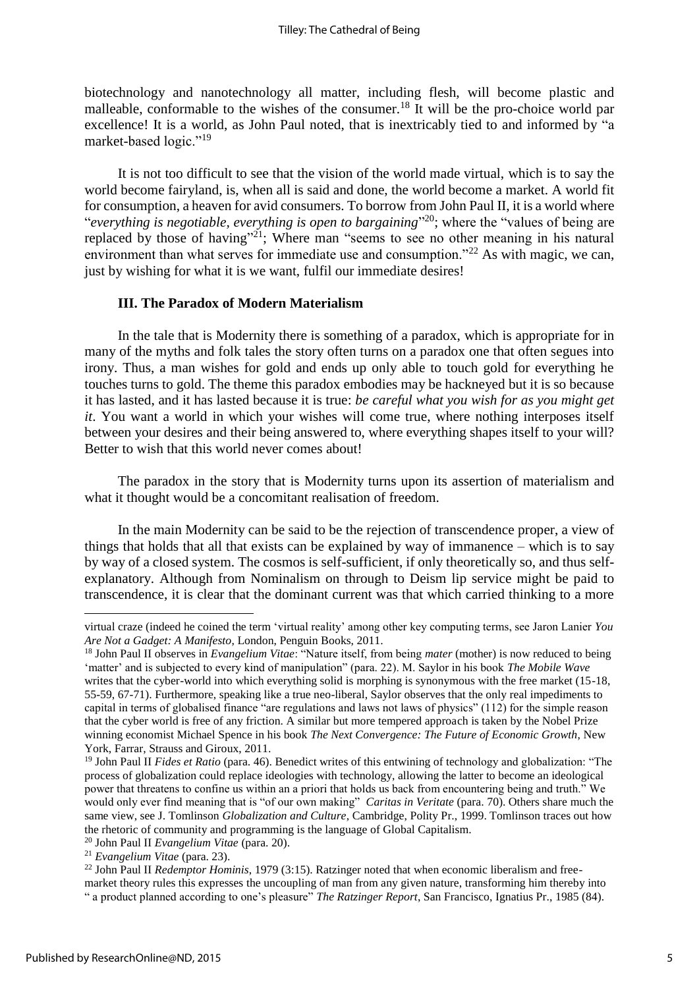biotechnology and nanotechnology all matter, including flesh, will become plastic and malleable, conformable to the wishes of the consumer.<sup>18</sup> It will be the pro-choice world par excellence! It is a world, as John Paul noted, that is inextricably tied to and informed by "a market-based logic."<sup>19</sup>

It is not too difficult to see that the vision of the world made virtual, which is to say the world become fairyland, is, when all is said and done, the world become a market. A world fit for consumption, a heaven for avid consumers. To borrow from John Paul II, it is a world where "*everything is negotiable, everything is open to bargaining*" <sup>20</sup>; where the "values of being are replaced by those of having"<sup>21</sup>; Where man "seems to see no other meaning in his natural environment than what serves for immediate use and consumption."<sup>22</sup> As with magic, we can, just by wishing for what it is we want, fulfil our immediate desires!

## **III. The Paradox of Modern Materialism**

In the tale that is Modernity there is something of a paradox, which is appropriate for in many of the myths and folk tales the story often turns on a paradox one that often segues into irony. Thus, a man wishes for gold and ends up only able to touch gold for everything he touches turns to gold. The theme this paradox embodies may be hackneyed but it is so because it has lasted, and it has lasted because it is true: *be careful what you wish for as you might get it*. You want a world in which your wishes will come true, where nothing interposes itself between your desires and their being answered to, where everything shapes itself to your will? Better to wish that this world never comes about!

The paradox in the story that is Modernity turns upon its assertion of materialism and what it thought would be a concomitant realisation of freedom.

In the main Modernity can be said to be the rejection of transcendence proper, a view of things that holds that all that exists can be explained by way of immanence – which is to say by way of a closed system. The cosmos is self-sufficient, if only theoretically so, and thus selfexplanatory. Although from Nominalism on through to Deism lip service might be paid to transcendence, it is clear that the dominant current was that which carried thinking to a more

virtual craze (indeed he coined the term 'virtual reality' among other key computing terms, see Jaron Lanier *You Are Not a Gadget: A Manifesto*, London, Penguin Books, 2011.

<sup>18</sup> John Paul II observes in *Evangelium Vitae*: "Nature itself, from being *mater* (mother) is now reduced to being 'matter' and is subjected to every kind of manipulation" (para. 22). M. Saylor in his book *The Mobile Wave* writes that the cyber-world into which everything solid is morphing is synonymous with the free market (15-18, 55-59, 67-71). Furthermore, speaking like a true neo-liberal, Saylor observes that the only real impediments to capital in terms of globalised finance "are regulations and laws not laws of physics" (112) for the simple reason that the cyber world is free of any friction. A similar but more tempered approach is taken by the Nobel Prize winning economist Michael Spence in his book *The Next Convergence: The Future of Economic Growth*, New York, Farrar, Strauss and Giroux, 2011.

<sup>&</sup>lt;sup>19</sup> John Paul II *Fides et Ratio* (para. 46). Benedict writes of this entwining of technology and globalization: "The process of globalization could replace ideologies with technology, allowing the latter to become an ideological power that threatens to confine us within an a priori that holds us back from encountering being and truth." We would only ever find meaning that is "of our own making" *Caritas in Veritate* (para. 70). Others share much the same view, see J. Tomlinson *Globalization and Culture*, Cambridge, Polity Pr., 1999. Tomlinson traces out how the rhetoric of community and programming is the language of Global Capitalism.

<sup>20</sup> John Paul II *Evangelium Vitae* (para. 20).

<sup>21</sup> *Evangelium Vitae* (para. 23).

<sup>22</sup> John Paul II *Redemptor Hominis*, 1979 (3:15). Ratzinger noted that when economic liberalism and freemarket theory rules this expresses the uncoupling of man from any given nature, transforming him thereby into " a product planned according to one's pleasure" *The Ratzinger Report*, San Francisco, Ignatius Pr., 1985 (84).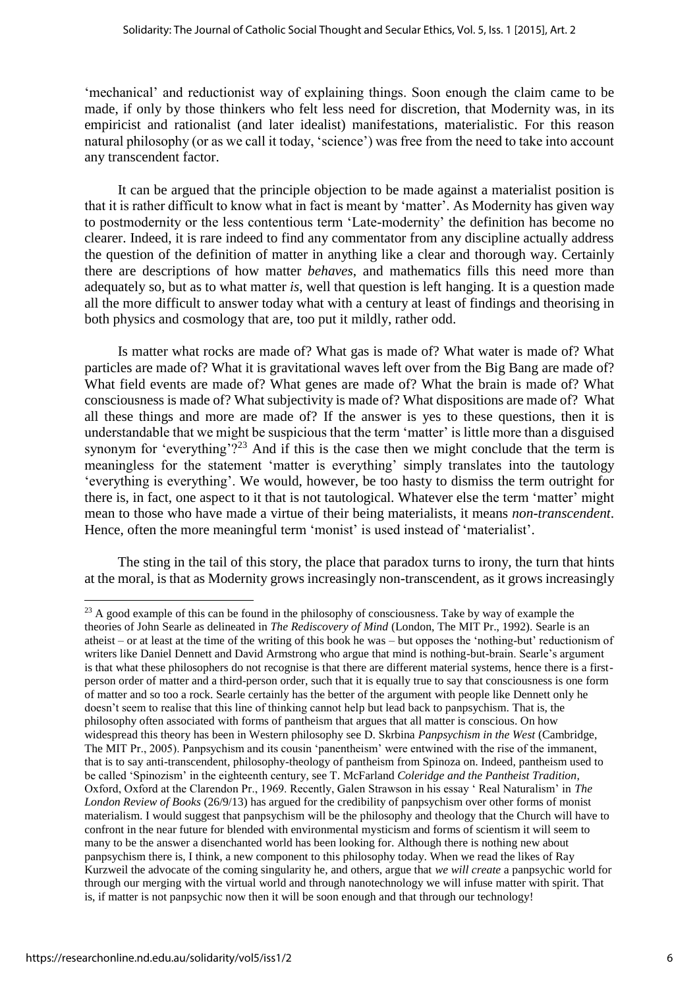'mechanical' and reductionist way of explaining things. Soon enough the claim came to be made, if only by those thinkers who felt less need for discretion, that Modernity was, in its empiricist and rationalist (and later idealist) manifestations, materialistic. For this reason natural philosophy (or as we call it today, 'science') was free from the need to take into account any transcendent factor.

It can be argued that the principle objection to be made against a materialist position is that it is rather difficult to know what in fact is meant by 'matter'. As Modernity has given way to postmodernity or the less contentious term 'Late-modernity' the definition has become no clearer. Indeed, it is rare indeed to find any commentator from any discipline actually address the question of the definition of matter in anything like a clear and thorough way. Certainly there are descriptions of how matter *behaves*, and mathematics fills this need more than adequately so, but as to what matter *is*, well that question is left hanging. It is a question made all the more difficult to answer today what with a century at least of findings and theorising in both physics and cosmology that are, too put it mildly, rather odd.

Is matter what rocks are made of? What gas is made of? What water is made of? What particles are made of? What it is gravitational waves left over from the Big Bang are made of? What field events are made of? What genes are made of? What the brain is made of? What consciousness is made of? What subjectivity is made of? What dispositions are made of? What all these things and more are made of? If the answer is yes to these questions, then it is understandable that we might be suspicious that the term 'matter' is little more than a disguised synonym for 'everything'?<sup>23</sup> And if this is the case then we might conclude that the term is meaningless for the statement 'matter is everything' simply translates into the tautology 'everything is everything'. We would, however, be too hasty to dismiss the term outright for there is, in fact, one aspect to it that is not tautological. Whatever else the term 'matter' might mean to those who have made a virtue of their being materialists, it means *non-transcendent*. Hence, often the more meaningful term 'monist' is used instead of 'materialist'.

The sting in the tail of this story, the place that paradox turns to irony, the turn that hints at the moral, is that as Modernity grows increasingly non-transcendent, as it grows increasingly

 $\overline{a}$ 

<sup>&</sup>lt;sup>23</sup> A good example of this can be found in the philosophy of consciousness. Take by way of example the theories of John Searle as delineated in *The Rediscovery of Mind* (London, The MIT Pr., 1992). Searle is an atheist – or at least at the time of the writing of this book he was – but opposes the 'nothing-but' reductionism of writers like Daniel Dennett and David Armstrong who argue that mind is nothing-but-brain. Searle's argument is that what these philosophers do not recognise is that there are different material systems, hence there is a firstperson order of matter and a third-person order, such that it is equally true to say that consciousness is one form of matter and so too a rock. Searle certainly has the better of the argument with people like Dennett only he doesn't seem to realise that this line of thinking cannot help but lead back to panpsychism. That is, the philosophy often associated with forms of pantheism that argues that all matter is conscious. On how widespread this theory has been in Western philosophy see D. Skrbina *Panpsychism in the West* (Cambridge, The MIT Pr., 2005). Panpsychism and its cousin 'panentheism' were entwined with the rise of the immanent, that is to say anti-transcendent, philosophy-theology of pantheism from Spinoza on. Indeed, pantheism used to be called 'Spinozism' in the eighteenth century, see T. McFarland *Coleridge and the Pantheist Tradition*, Oxford, Oxford at the Clarendon Pr., 1969. Recently, Galen Strawson in his essay ' Real Naturalism' in *The London Review of Books* (26/9/13) has argued for the credibility of panpsychism over other forms of monist materialism. I would suggest that panpsychism will be the philosophy and theology that the Church will have to confront in the near future for blended with environmental mysticism and forms of scientism it will seem to many to be the answer a disenchanted world has been looking for. Although there is nothing new about panpsychism there is, I think, a new component to this philosophy today. When we read the likes of Ray Kurzweil the advocate of the coming singularity he, and others, argue that *we will create* a panpsychic world for through our merging with the virtual world and through nanotechnology we will infuse matter with spirit. That is, if matter is not panpsychic now then it will be soon enough and that through our technology!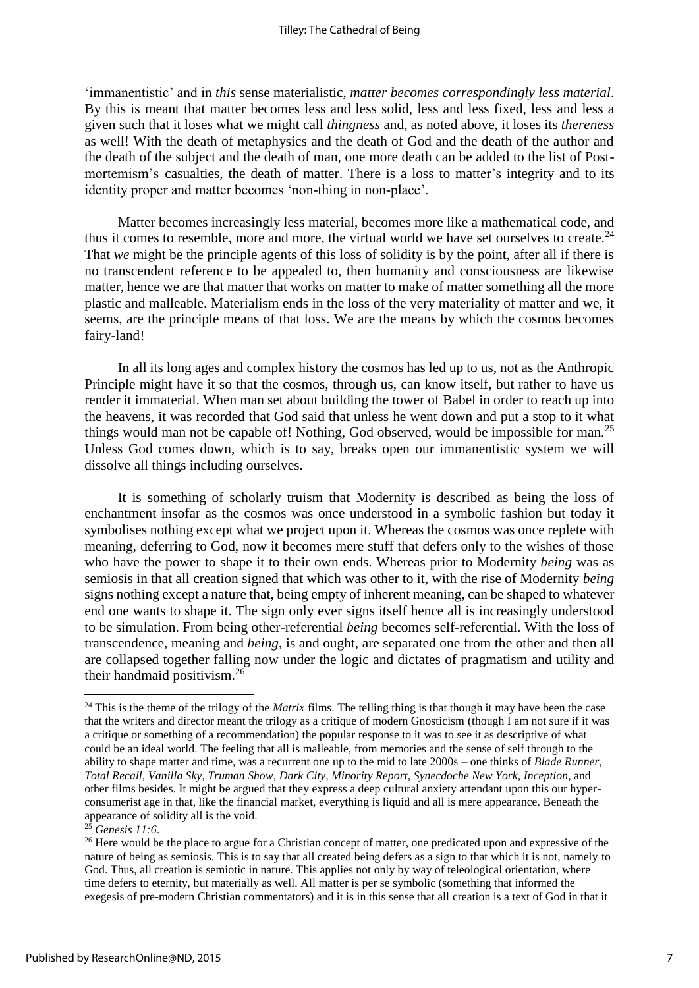'immanentistic' and in *this* sense materialistic, *matter becomes correspondingly less material*. By this is meant that matter becomes less and less solid, less and less fixed, less and less a given such that it loses what we might call *thingness* and, as noted above, it loses its *thereness* as well! With the death of metaphysics and the death of God and the death of the author and the death of the subject and the death of man, one more death can be added to the list of Postmortemism's casualties, the death of matter. There is a loss to matter's integrity and to its identity proper and matter becomes 'non-thing in non-place'.

Matter becomes increasingly less material, becomes more like a mathematical code, and thus it comes to resemble, more and more, the virtual world we have set ourselves to create. $^{24}$ That *we* might be the principle agents of this loss of solidity is by the point, after all if there is no transcendent reference to be appealed to, then humanity and consciousness are likewise matter, hence we are that matter that works on matter to make of matter something all the more plastic and malleable. Materialism ends in the loss of the very materiality of matter and we, it seems, are the principle means of that loss. We are the means by which the cosmos becomes fairy-land!

In all its long ages and complex history the cosmos has led up to us, not as the Anthropic Principle might have it so that the cosmos, through us, can know itself, but rather to have us render it immaterial. When man set about building the tower of Babel in order to reach up into the heavens, it was recorded that God said that unless he went down and put a stop to it what things would man not be capable of! Nothing, God observed, would be impossible for man.<sup>25</sup> Unless God comes down, which is to say, breaks open our immanentistic system we will dissolve all things including ourselves.

It is something of scholarly truism that Modernity is described as being the loss of enchantment insofar as the cosmos was once understood in a symbolic fashion but today it symbolises nothing except what we project upon it. Whereas the cosmos was once replete with meaning, deferring to God, now it becomes mere stuff that defers only to the wishes of those who have the power to shape it to their own ends. Whereas prior to Modernity *being* was as semiosis in that all creation signed that which was other to it, with the rise of Modernity *being*  signs nothing except a nature that, being empty of inherent meaning, can be shaped to whatever end one wants to shape it. The sign only ever signs itself hence all is increasingly understood to be simulation. From being other-referential *being* becomes self-referential. With the loss of transcendence, meaning and *being*, is and ought, are separated one from the other and then all are collapsed together falling now under the logic and dictates of pragmatism and utility and their handmaid positivism.<sup>26</sup>

<sup>&</sup>lt;sup>24</sup> This is the theme of the trilogy of the *Matrix* films. The telling thing is that though it may have been the case that the writers and director meant the trilogy as a critique of modern Gnosticism (though I am not sure if it was a critique or something of a recommendation) the popular response to it was to see it as descriptive of what could be an ideal world. The feeling that all is malleable, from memories and the sense of self through to the ability to shape matter and time, was a recurrent one up to the mid to late 2000s – one thinks of *Blade Runner*, *Total Recall, Vanilla Sky*, *Truman Show*, *Dark City*, *Minority Report*, *Synecdoche New York*, *Inception*, and other films besides. It might be argued that they express a deep cultural anxiety attendant upon this our hyperconsumerist age in that, like the financial market, everything is liquid and all is mere appearance. Beneath the appearance of solidity all is the void.

<sup>25</sup> *Genesis 11:6*.

<sup>&</sup>lt;sup>26</sup> Here would be the place to argue for a Christian concept of matter, one predicated upon and expressive of the nature of being as semiosis. This is to say that all created being defers as a sign to that which it is not, namely to God. Thus, all creation is semiotic in nature. This applies not only by way of teleological orientation, where time defers to eternity, but materially as well. All matter is per se symbolic (something that informed the exegesis of pre-modern Christian commentators) and it is in this sense that all creation is a text of God in that it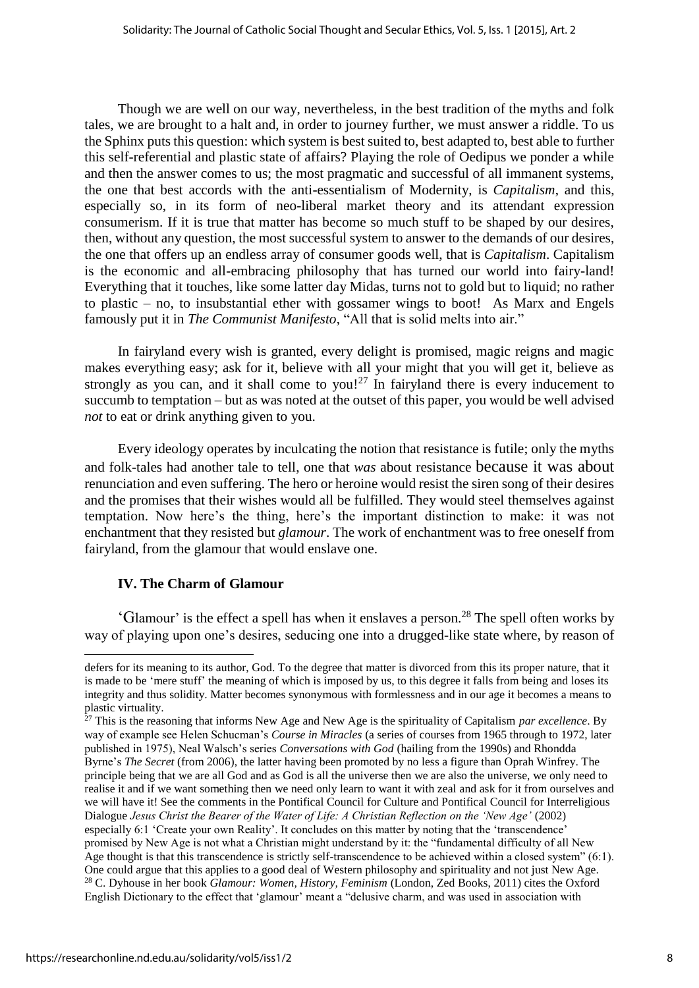Though we are well on our way, nevertheless, in the best tradition of the myths and folk tales, we are brought to a halt and, in order to journey further, we must answer a riddle. To us the Sphinx puts this question: which system is best suited to, best adapted to, best able to further this self-referential and plastic state of affairs? Playing the role of Oedipus we ponder a while and then the answer comes to us; the most pragmatic and successful of all immanent systems, the one that best accords with the anti-essentialism of Modernity, is *Capitalism*, and this, especially so, in its form of neo-liberal market theory and its attendant expression consumerism. If it is true that matter has become so much stuff to be shaped by our desires, then, without any question, the most successful system to answer to the demands of our desires, the one that offers up an endless array of consumer goods well, that is *Capitalism*. Capitalism is the economic and all-embracing philosophy that has turned our world into fairy-land! Everything that it touches, like some latter day Midas, turns not to gold but to liquid; no rather to plastic – no, to insubstantial ether with gossamer wings to boot! As Marx and Engels famously put it in *The Communist Manifesto*, "All that is solid melts into air."

In fairyland every wish is granted, every delight is promised, magic reigns and magic makes everything easy; ask for it, believe with all your might that you will get it, believe as strongly as you can, and it shall come to you!<sup>27</sup> In fairyland there is every inducement to succumb to temptation – but as was noted at the outset of this paper, you would be well advised *not* to eat or drink anything given to you.

Every ideology operates by inculcating the notion that resistance is futile; only the myths and folk-tales had another tale to tell, one that *was* about resistance because it was about renunciation and even suffering. The hero or heroine would resist the siren song of their desires and the promises that their wishes would all be fulfilled. They would steel themselves against temptation. Now here's the thing, here's the important distinction to make: it was not enchantment that they resisted but *glamour*. The work of enchantment was to free oneself from fairyland, from the glamour that would enslave one.

## **IV. The Charm of Glamour**

1

'Glamour' is the effect a spell has when it enslaves a person.<sup>28</sup> The spell often works by way of playing upon one's desires, seducing one into a drugged-like state where, by reason of

<sup>27</sup> This is the reasoning that informs New Age and New Age is the spirituality of Capitalism *par excellence*. By way of example see Helen Schucman's *Course in Miracles* (a series of courses from 1965 through to 1972, later published in 1975), Neal Walsch's series *Conversations with God* (hailing from the 1990s) and Rhondda Byrne's *The Secret* (from 2006), the latter having been promoted by no less a figure than Oprah Winfrey. The principle being that we are all God and as God is all the universe then we are also the universe, we only need to realise it and if we want something then we need only learn to want it with zeal and ask for it from ourselves and we will have it! See the comments in the Pontifical Council for Culture and Pontifical Council for Interreligious Dialogue *Jesus Christ the Bearer of the Water of Life: A Christian Reflection on the 'New Age'* (2002) especially 6:1 'Create your own Reality'. It concludes on this matter by noting that the 'transcendence' promised by New Age is not what a Christian might understand by it: the "fundamental difficulty of all New Age thought is that this transcendence is strictly self-transcendence to be achieved within a closed system" (6:1). One could argue that this applies to a good deal of Western philosophy and spirituality and not just New Age. <sup>28</sup> C. Dyhouse in her book *Glamour: Women, History, Feminism* (London, Zed Books, 2011) cites the Oxford English Dictionary to the effect that 'glamour' meant a "delusive charm, and was used in association with

defers for its meaning to its author, God. To the degree that matter is divorced from this its proper nature, that it is made to be 'mere stuff' the meaning of which is imposed by us, to this degree it falls from being and loses its integrity and thus solidity. Matter becomes synonymous with formlessness and in our age it becomes a means to plastic virtuality.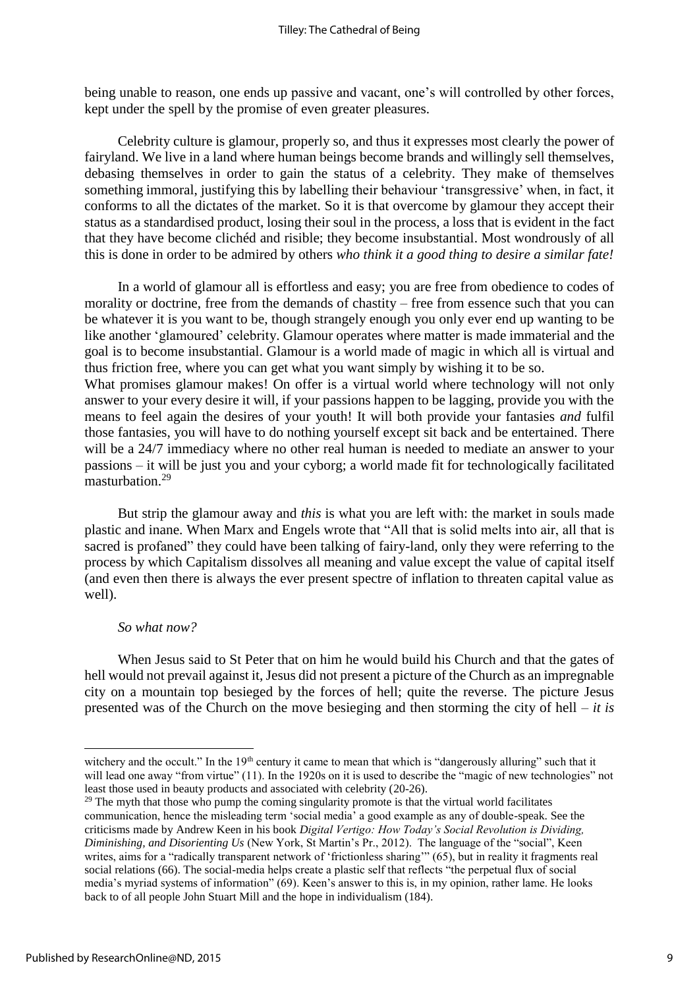being unable to reason, one ends up passive and vacant, one's will controlled by other forces, kept under the spell by the promise of even greater pleasures.

Celebrity culture is glamour, properly so, and thus it expresses most clearly the power of fairyland. We live in a land where human beings become brands and willingly sell themselves, debasing themselves in order to gain the status of a celebrity. They make of themselves something immoral, justifying this by labelling their behaviour 'transgressive' when, in fact, it conforms to all the dictates of the market. So it is that overcome by glamour they accept their status as a standardised product, losing their soul in the process, a loss that is evident in the fact that they have become clichéd and risible; they become insubstantial. Most wondrously of all this is done in order to be admired by others *who think it a good thing to desire a similar fate!*

In a world of glamour all is effortless and easy; you are free from obedience to codes of morality or doctrine, free from the demands of chastity – free from essence such that you can be whatever it is you want to be, though strangely enough you only ever end up wanting to be like another 'glamoured' celebrity. Glamour operates where matter is made immaterial and the goal is to become insubstantial. Glamour is a world made of magic in which all is virtual and thus friction free, where you can get what you want simply by wishing it to be so. What promises glamour makes! On offer is a virtual world where technology will not only answer to your every desire it will, if your passions happen to be lagging, provide you with the means to feel again the desires of your youth! It will both provide your fantasies *and* fulfil those fantasies, you will have to do nothing yourself except sit back and be entertained. There will be a 24/7 immediacy where no other real human is needed to mediate an answer to your passions – it will be just you and your cyborg; a world made fit for technologically facilitated masturbation.<sup>29</sup>

But strip the glamour away and *this* is what you are left with: the market in souls made plastic and inane. When Marx and Engels wrote that "All that is solid melts into air, all that is sacred is profaned" they could have been talking of fairy-land, only they were referring to the process by which Capitalism dissolves all meaning and value except the value of capital itself (and even then there is always the ever present spectre of inflation to threaten capital value as well).

## *So what now?*

When Jesus said to St Peter that on him he would build his Church and that the gates of hell would not prevail against it, Jesus did not present a picture of the Church as an impregnable city on a mountain top besieged by the forces of hell; quite the reverse. The picture Jesus presented was of the Church on the move besieging and then storming the city of hell – *it is* 

**.** 

witchery and the occult." In the 19<sup>th</sup> century it came to mean that which is "dangerously alluring" such that it will lead one away "from virtue" (11). In the 1920s on it is used to describe the "magic of new technologies" not least those used in beauty products and associated with celebrity (20-26).

 $29$  The myth that those who pump the coming singularity promote is that the virtual world facilitates communication, hence the misleading term 'social media' a good example as any of double-speak. See the criticisms made by Andrew Keen in his book *Digital Vertigo: How Today's Social Revolution is Dividing, Diminishing, and Disorienting Us* (New York, St Martin's Pr., 2012). The language of the "social", Keen writes, aims for a "radically transparent network of 'frictionless sharing'" (65), but in reality it fragments real social relations (66). The social-media helps create a plastic self that reflects "the perpetual flux of social media's myriad systems of information" (69). Keen's answer to this is, in my opinion, rather lame. He looks back to of all people John Stuart Mill and the hope in individualism (184).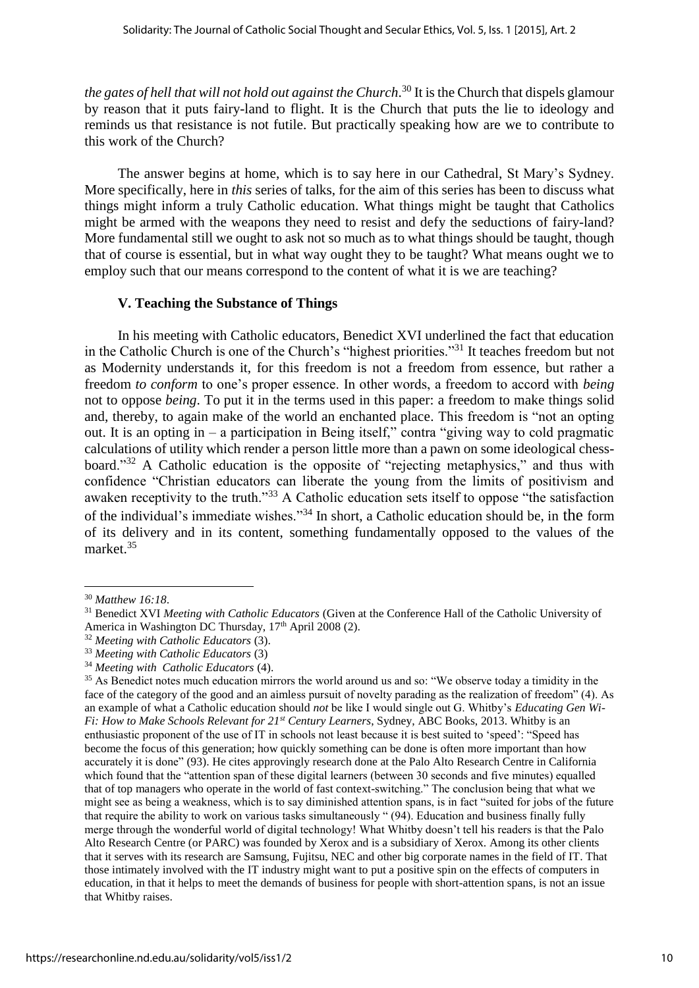*the gates of hell that will not hold out against the Church*. <sup>30</sup> It is the Church that dispels glamour by reason that it puts fairy-land to flight. It is the Church that puts the lie to ideology and reminds us that resistance is not futile. But practically speaking how are we to contribute to this work of the Church?

The answer begins at home, which is to say here in our Cathedral, St Mary's Sydney. More specifically, here in *this* series of talks, for the aim of this series has been to discuss what things might inform a truly Catholic education. What things might be taught that Catholics might be armed with the weapons they need to resist and defy the seductions of fairy-land? More fundamental still we ought to ask not so much as to what things should be taught, though that of course is essential, but in what way ought they to be taught? What means ought we to employ such that our means correspond to the content of what it is we are teaching?

## **V. Teaching the Substance of Things**

In his meeting with Catholic educators, Benedict XVI underlined the fact that education in the Catholic Church is one of the Church's "highest priorities."<sup>31</sup> It teaches freedom but not as Modernity understands it, for this freedom is not a freedom from essence, but rather a freedom *to conform* to one's proper essence. In other words, a freedom to accord with *being* not to oppose *being*. To put it in the terms used in this paper: a freedom to make things solid and, thereby, to again make of the world an enchanted place. This freedom is "not an opting out. It is an opting in – a participation in Being itself," contra "giving way to cold pragmatic calculations of utility which render a person little more than a pawn on some ideological chessboard."<sup>32</sup> A Catholic education is the opposite of "rejecting metaphysics," and thus with confidence "Christian educators can liberate the young from the limits of positivism and awaken receptivity to the truth."<sup>33</sup> A Catholic education sets itself to oppose "the satisfaction" of the individual's immediate wishes."<sup>34</sup> In short, a Catholic education should be, in the form of its delivery and in its content, something fundamentally opposed to the values of the market. 35

**.** 

<sup>30</sup> *Matthew 16:18*.

<sup>31</sup> Benedict XVI *Meeting with Catholic Educators* (Given at the Conference Hall of the Catholic University of America in Washington DC Thursday, 17<sup>th</sup> April 2008 (2).

<sup>32</sup> *Meeting with Catholic Educators* (3).

<sup>33</sup> *Meeting with Catholic Educators* (3)

<sup>34</sup> *Meeting with Catholic Educators* (4).

<sup>&</sup>lt;sup>35</sup> As Benedict notes much education mirrors the world around us and so: "We observe today a timidity in the face of the category of the good and an aimless pursuit of novelty parading as the realization of freedom" (4). As an example of what a Catholic education should *not* be like I would single out G. Whitby's *Educating Gen Wi-Fi: How to Make Schools Relevant for 21st Century Learners*, Sydney, ABC Books, 2013. Whitby is an enthusiastic proponent of the use of IT in schools not least because it is best suited to 'speed': "Speed has become the focus of this generation; how quickly something can be done is often more important than how accurately it is done" (93). He cites approvingly research done at the Palo Alto Research Centre in California which found that the "attention span of these digital learners (between 30 seconds and five minutes) equalled that of top managers who operate in the world of fast context-switching." The conclusion being that what we might see as being a weakness, which is to say diminished attention spans, is in fact "suited for jobs of the future that require the ability to work on various tasks simultaneously " (94). Education and business finally fully merge through the wonderful world of digital technology! What Whitby doesn't tell his readers is that the Palo Alto Research Centre (or PARC) was founded by Xerox and is a subsidiary of Xerox. Among its other clients that it serves with its research are Samsung, Fujitsu, NEC and other big corporate names in the field of IT. That those intimately involved with the IT industry might want to put a positive spin on the effects of computers in education, in that it helps to meet the demands of business for people with short-attention spans, is not an issue that Whitby raises.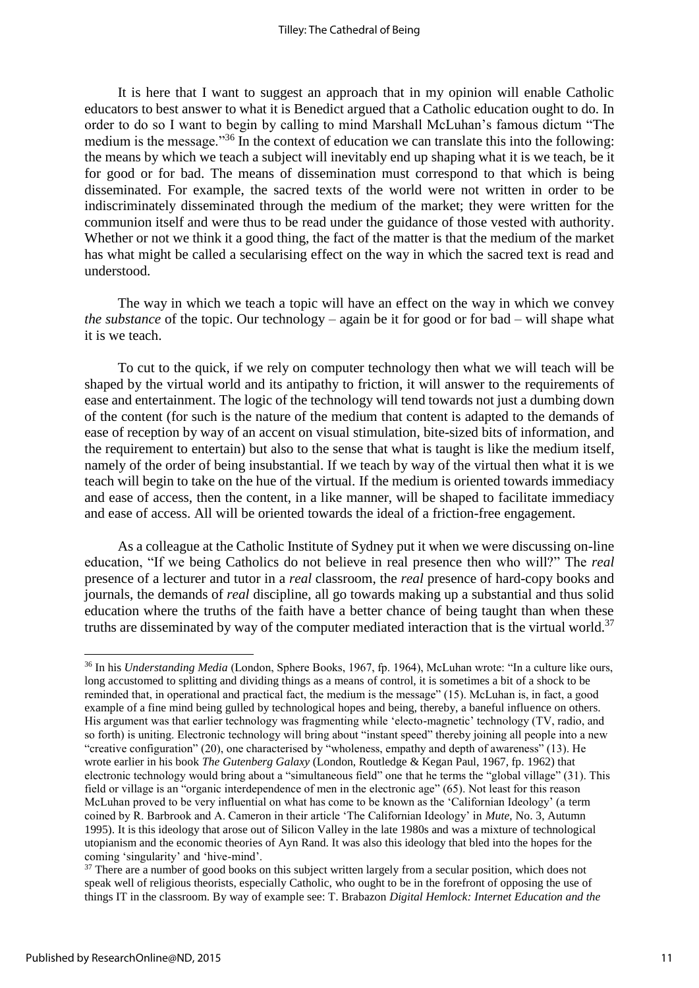It is here that I want to suggest an approach that in my opinion will enable Catholic educators to best answer to what it is Benedict argued that a Catholic education ought to do. In order to do so I want to begin by calling to mind Marshall McLuhan's famous dictum "The medium is the message."<sup>36</sup> In the context of education we can translate this into the following: the means by which we teach a subject will inevitably end up shaping what it is we teach, be it for good or for bad. The means of dissemination must correspond to that which is being disseminated. For example, the sacred texts of the world were not written in order to be indiscriminately disseminated through the medium of the market; they were written for the communion itself and were thus to be read under the guidance of those vested with authority. Whether or not we think it a good thing, the fact of the matter is that the medium of the market has what might be called a secularising effect on the way in which the sacred text is read and understood.

The way in which we teach a topic will have an effect on the way in which we convey *the substance* of the topic. Our technology – again be it for good or for bad – will shape what it is we teach.

To cut to the quick, if we rely on computer technology then what we will teach will be shaped by the virtual world and its antipathy to friction, it will answer to the requirements of ease and entertainment. The logic of the technology will tend towards not just a dumbing down of the content (for such is the nature of the medium that content is adapted to the demands of ease of reception by way of an accent on visual stimulation, bite-sized bits of information, and the requirement to entertain) but also to the sense that what is taught is like the medium itself, namely of the order of being insubstantial. If we teach by way of the virtual then what it is we teach will begin to take on the hue of the virtual. If the medium is oriented towards immediacy and ease of access, then the content, in a like manner, will be shaped to facilitate immediacy and ease of access. All will be oriented towards the ideal of a friction-free engagement.

As a colleague at the Catholic Institute of Sydney put it when we were discussing on-line education, "If we being Catholics do not believe in real presence then who will?" The *real* presence of a lecturer and tutor in a *real* classroom, the *real* presence of hard-copy books and journals, the demands of *real* discipline, all go towards making up a substantial and thus solid education where the truths of the faith have a better chance of being taught than when these truths are disseminated by way of the computer mediated interaction that is the virtual world.<sup>37</sup>

<sup>36</sup> In his *Understanding Media* (London, Sphere Books, 1967, fp. 1964), McLuhan wrote: "In a culture like ours, long accustomed to splitting and dividing things as a means of control, it is sometimes a bit of a shock to be reminded that, in operational and practical fact, the medium is the message" (15). McLuhan is, in fact, a good example of a fine mind being gulled by technological hopes and being, thereby, a baneful influence on others. His argument was that earlier technology was fragmenting while 'electo-magnetic' technology (TV, radio, and so forth) is uniting. Electronic technology will bring about "instant speed" thereby joining all people into a new "creative configuration" (20), one characterised by "wholeness, empathy and depth of awareness" (13). He wrote earlier in his book *The Gutenberg Galaxy* (London, Routledge & Kegan Paul, 1967, fp. 1962) that electronic technology would bring about a "simultaneous field" one that he terms the "global village" (31). This field or village is an "organic interdependence of men in the electronic age" (65). Not least for this reason McLuhan proved to be very influential on what has come to be known as the 'Californian Ideology' (a term coined by R. Barbrook and A. Cameron in their article 'The Californian Ideology' in *Mute*, No. 3, Autumn 1995). It is this ideology that arose out of Silicon Valley in the late 1980s and was a mixture of technological utopianism and the economic theories of Ayn Rand. It was also this ideology that bled into the hopes for the coming 'singularity' and 'hive-mind'.

<sup>&</sup>lt;sup>37</sup> There are a number of good books on this subject written largely from a secular position, which does not speak well of religious theorists, especially Catholic, who ought to be in the forefront of opposing the use of things IT in the classroom. By way of example see: T. Brabazon *Digital Hemlock: Internet Education and the*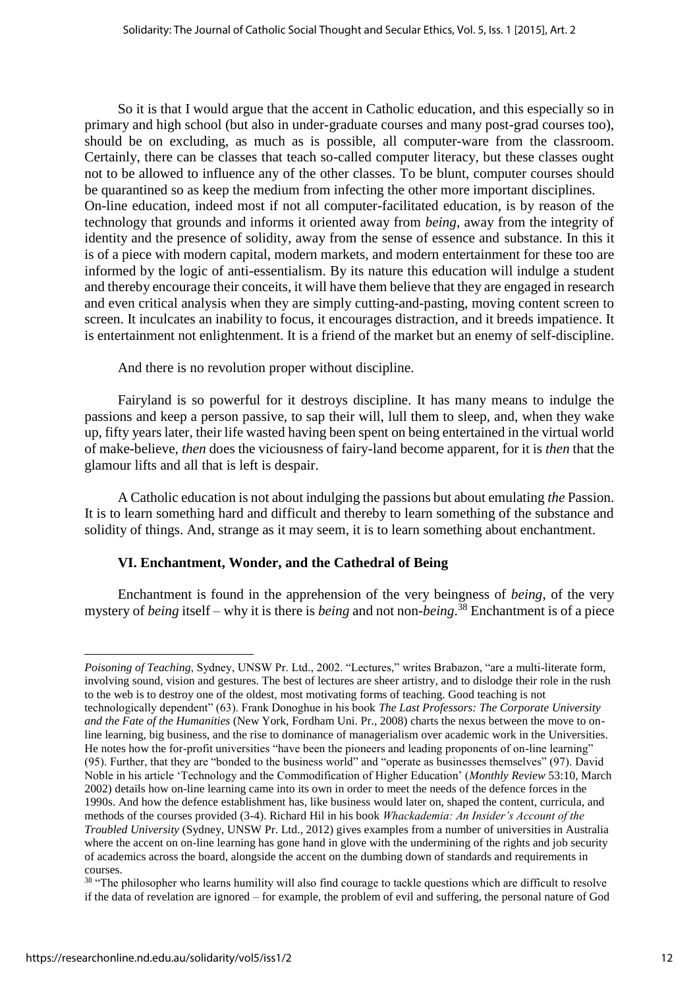So it is that I would argue that the accent in Catholic education, and this especially so in primary and high school (but also in under-graduate courses and many post-grad courses too), should be on excluding, as much as is possible, all computer-ware from the classroom. Certainly, there can be classes that teach so-called computer literacy, but these classes ought not to be allowed to influence any of the other classes. To be blunt, computer courses should be quarantined so as keep the medium from infecting the other more important disciplines. On-line education, indeed most if not all computer-facilitated education, is by reason of the technology that grounds and informs it oriented away from *being*, away from the integrity of identity and the presence of solidity, away from the sense of essence and substance. In this it is of a piece with modern capital, modern markets, and modern entertainment for these too are informed by the logic of anti-essentialism. By its nature this education will indulge a student and thereby encourage their conceits, it will have them believe that they are engaged in research and even critical analysis when they are simply cutting-and-pasting, moving content screen to screen. It inculcates an inability to focus, it encourages distraction, and it breeds impatience. It is entertainment not enlightenment. It is a friend of the market but an enemy of self-discipline.

And there is no revolution proper without discipline.

Fairyland is so powerful for it destroys discipline. It has many means to indulge the passions and keep a person passive, to sap their will, lull them to sleep, and, when they wake up, fifty years later, their life wasted having been spent on being entertained in the virtual world of make-believe, *then* does the viciousness of fairy-land become apparent, for it is *then* that the glamour lifts and all that is left is despair.

A Catholic education is not about indulging the passions but about emulating *the* Passion. It is to learn something hard and difficult and thereby to learn something of the substance and solidity of things. And, strange as it may seem, it is to learn something about enchantment.

## **VI. Enchantment, Wonder, and the Cathedral of Being**

Enchantment is found in the apprehension of the very beingness of *being*, of the very mystery of *being* itself – why it is there is *being* and not non-*being*. <sup>38</sup> Enchantment is of a piece

*Poisoning of Teaching*, Sydney, UNSW Pr. Ltd., 2002. "Lectures," writes Brabazon, "are a multi-literate form, involving sound, vision and gestures. The best of lectures are sheer artistry, and to dislodge their role in the rush to the web is to destroy one of the oldest, most motivating forms of teaching. Good teaching is not technologically dependent" (63). Frank Donoghue in his book *The Last Professors: The Corporate University and the Fate of the Humanities* (New York, Fordham Uni. Pr., 2008) charts the nexus between the move to online learning, big business, and the rise to dominance of managerialism over academic work in the Universities. He notes how the for-profit universities "have been the pioneers and leading proponents of on-line learning" (95). Further, that they are "bonded to the business world" and "operate as businesses themselves" (97). David Noble in his article 'Technology and the Commodification of Higher Education' (*Monthly Review* 53:10, March 2002) details how on-line learning came into its own in order to meet the needs of the defence forces in the 1990s. And how the defence establishment has, like business would later on, shaped the content, curricula, and methods of the courses provided (3-4). Richard Hil in his book *Whackademia: An Insider's Account of the Troubled University* (Sydney, UNSW Pr. Ltd., 2012) gives examples from a number of universities in Australia where the accent on on-line learning has gone hand in glove with the undermining of the rights and job security of academics across the board, alongside the accent on the dumbing down of standards and requirements in courses.

<sup>&</sup>lt;sup>38</sup> "The philosopher who learns humility will also find courage to tackle questions which are difficult to resolve if the data of revelation are ignored – for example, the problem of evil and suffering, the personal nature of God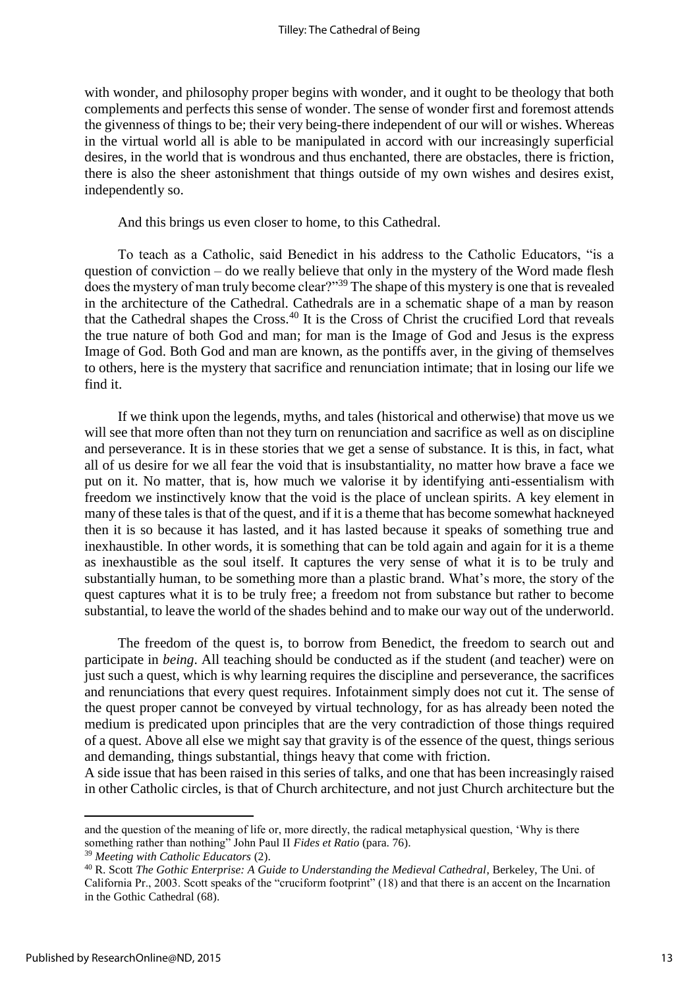with wonder, and philosophy proper begins with wonder, and it ought to be theology that both complements and perfects this sense of wonder. The sense of wonder first and foremost attends the givenness of things to be; their very being-there independent of our will or wishes. Whereas in the virtual world all is able to be manipulated in accord with our increasingly superficial desires, in the world that is wondrous and thus enchanted, there are obstacles, there is friction, there is also the sheer astonishment that things outside of my own wishes and desires exist, independently so.

And this brings us even closer to home, to this Cathedral.

To teach as a Catholic, said Benedict in his address to the Catholic Educators, "is a question of conviction – do we really believe that only in the mystery of the Word made flesh does the mystery of man truly become clear?"<sup>39</sup> The shape of this mystery is one that is revealed in the architecture of the Cathedral. Cathedrals are in a schematic shape of a man by reason that the Cathedral shapes the Cross.<sup>40</sup> It is the Cross of Christ the crucified Lord that reveals the true nature of both God and man; for man is the Image of God and Jesus is the express Image of God. Both God and man are known, as the pontiffs aver, in the giving of themselves to others, here is the mystery that sacrifice and renunciation intimate; that in losing our life we find it.

If we think upon the legends, myths, and tales (historical and otherwise) that move us we will see that more often than not they turn on renunciation and sacrifice as well as on discipline and perseverance. It is in these stories that we get a sense of substance. It is this, in fact, what all of us desire for we all fear the void that is insubstantiality, no matter how brave a face we put on it. No matter, that is, how much we valorise it by identifying anti-essentialism with freedom we instinctively know that the void is the place of unclean spirits. A key element in many of these tales is that of the quest, and if it is a theme that has become somewhat hackneyed then it is so because it has lasted, and it has lasted because it speaks of something true and inexhaustible. In other words, it is something that can be told again and again for it is a theme as inexhaustible as the soul itself. It captures the very sense of what it is to be truly and substantially human, to be something more than a plastic brand. What's more, the story of the quest captures what it is to be truly free; a freedom not from substance but rather to become substantial, to leave the world of the shades behind and to make our way out of the underworld.

The freedom of the quest is, to borrow from Benedict, the freedom to search out and participate in *being*. All teaching should be conducted as if the student (and teacher) were on just such a quest, which is why learning requires the discipline and perseverance, the sacrifices and renunciations that every quest requires. Infotainment simply does not cut it. The sense of the quest proper cannot be conveyed by virtual technology, for as has already been noted the medium is predicated upon principles that are the very contradiction of those things required of a quest. Above all else we might say that gravity is of the essence of the quest, things serious and demanding, things substantial, things heavy that come with friction.

A side issue that has been raised in this series of talks, and one that has been increasingly raised in other Catholic circles, is that of Church architecture, and not just Church architecture but the

and the question of the meaning of life or, more directly, the radical metaphysical question, 'Why is there something rather than nothing" John Paul II *Fides et Ratio* (para. 76).

<sup>39</sup> *Meeting with Catholic Educators* (2).

<sup>40</sup> R. Scott *The Gothic Enterprise: A Guide to Understanding the Medieval Cathedral*, Berkeley, The Uni. of California Pr., 2003. Scott speaks of the "cruciform footprint" (18) and that there is an accent on the Incarnation in the Gothic Cathedral (68).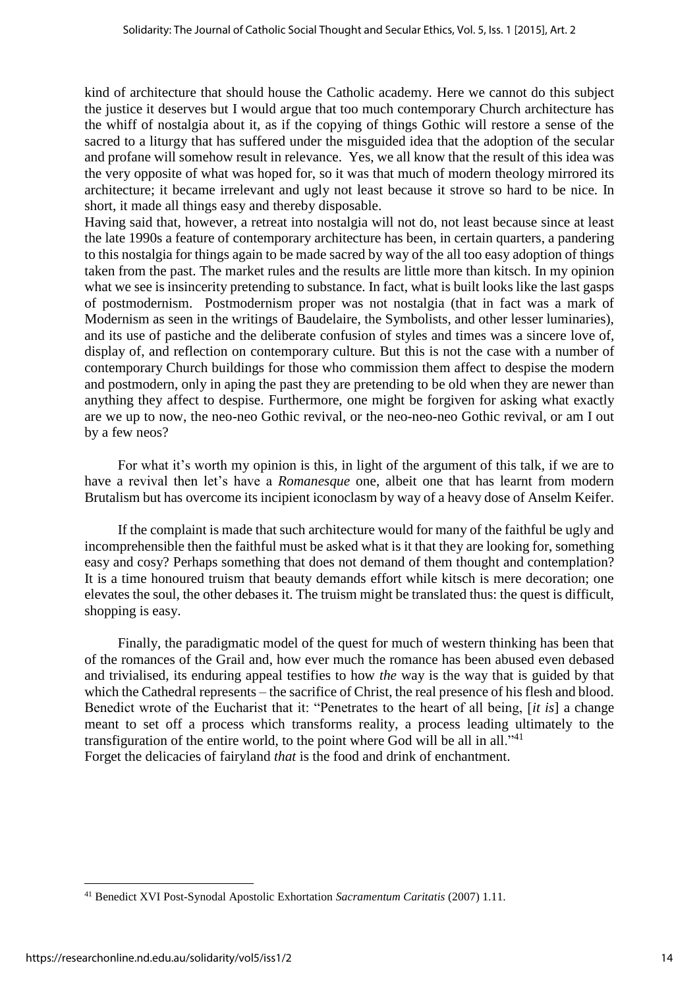kind of architecture that should house the Catholic academy. Here we cannot do this subject the justice it deserves but I would argue that too much contemporary Church architecture has the whiff of nostalgia about it, as if the copying of things Gothic will restore a sense of the sacred to a liturgy that has suffered under the misguided idea that the adoption of the secular and profane will somehow result in relevance. Yes, we all know that the result of this idea was the very opposite of what was hoped for, so it was that much of modern theology mirrored its architecture; it became irrelevant and ugly not least because it strove so hard to be nice. In short, it made all things easy and thereby disposable.

Having said that, however, a retreat into nostalgia will not do, not least because since at least the late 1990s a feature of contemporary architecture has been, in certain quarters, a pandering to this nostalgia for things again to be made sacred by way of the all too easy adoption of things taken from the past. The market rules and the results are little more than kitsch. In my opinion what we see is insincerity pretending to substance. In fact, what is built looks like the last gasps of postmodernism. Postmodernism proper was not nostalgia (that in fact was a mark of Modernism as seen in the writings of Baudelaire, the Symbolists, and other lesser luminaries), and its use of pastiche and the deliberate confusion of styles and times was a sincere love of, display of, and reflection on contemporary culture. But this is not the case with a number of contemporary Church buildings for those who commission them affect to despise the modern and postmodern, only in aping the past they are pretending to be old when they are newer than anything they affect to despise. Furthermore, one might be forgiven for asking what exactly are we up to now, the neo-neo Gothic revival, or the neo-neo-neo Gothic revival, or am I out by a few neos?

For what it's worth my opinion is this, in light of the argument of this talk, if we are to have a revival then let's have a *Romanesque* one, albeit one that has learnt from modern Brutalism but has overcome its incipient iconoclasm by way of a heavy dose of Anselm Keifer.

If the complaint is made that such architecture would for many of the faithful be ugly and incomprehensible then the faithful must be asked what is it that they are looking for, something easy and cosy? Perhaps something that does not demand of them thought and contemplation? It is a time honoured truism that beauty demands effort while kitsch is mere decoration; one elevates the soul, the other debases it. The truism might be translated thus: the quest is difficult, shopping is easy.

Finally, the paradigmatic model of the quest for much of western thinking has been that of the romances of the Grail and, how ever much the romance has been abused even debased and trivialised, its enduring appeal testifies to how *the* way is the way that is guided by that which the Cathedral represents – the sacrifice of Christ, the real presence of his flesh and blood. Benedict wrote of the Eucharist that it: "Penetrates to the heart of all being, [*it is*] a change meant to set off a process which transforms reality, a process leading ultimately to the transfiguration of the entire world, to the point where God will be all in all."<sup>41</sup> Forget the delicacies of fairyland *that* is the food and drink of enchantment.

**.** 

<sup>41</sup> Benedict XVI Post-Synodal Apostolic Exhortation *Sacramentum Caritatis* (2007) 1.11.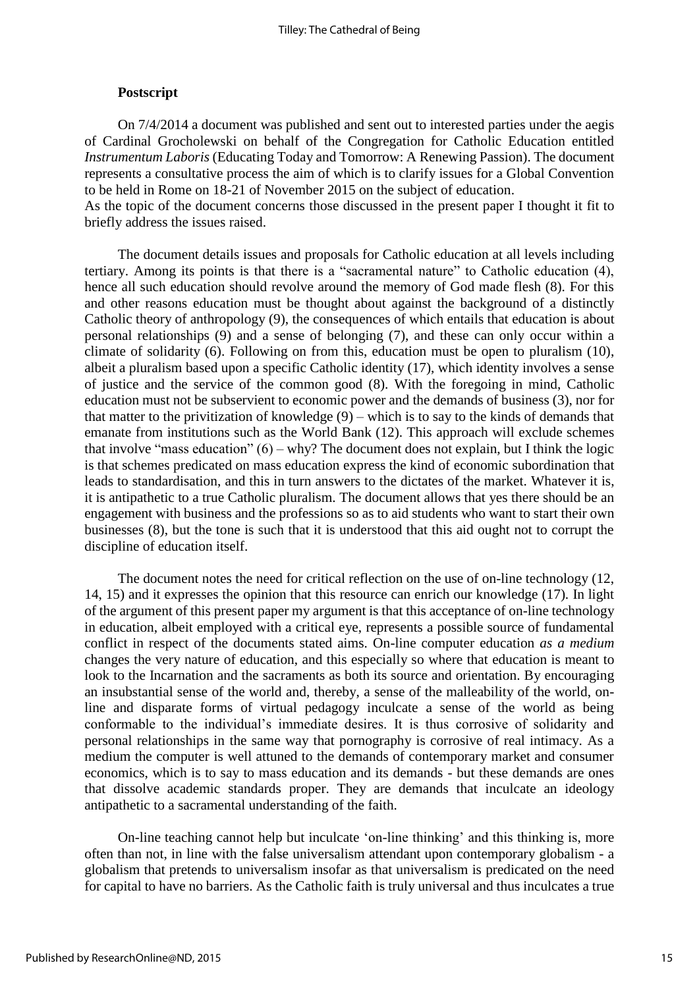#### **Postscript**

On 7/4/2014 a document was published and sent out to interested parties under the aegis of Cardinal Grocholewski on behalf of the Congregation for Catholic Education entitled *Instrumentum Laboris* (Educating Today and Tomorrow: A Renewing Passion). The document represents a consultative process the aim of which is to clarify issues for a Global Convention to be held in Rome on 18-21 of November 2015 on the subject of education.

As the topic of the document concerns those discussed in the present paper I thought it fit to briefly address the issues raised.

The document details issues and proposals for Catholic education at all levels including tertiary. Among its points is that there is a "sacramental nature" to Catholic education (4), hence all such education should revolve around the memory of God made flesh (8). For this and other reasons education must be thought about against the background of a distinctly Catholic theory of anthropology (9), the consequences of which entails that education is about personal relationships (9) and a sense of belonging (7), and these can only occur within a climate of solidarity (6). Following on from this, education must be open to pluralism (10), albeit a pluralism based upon a specific Catholic identity (17), which identity involves a sense of justice and the service of the common good (8). With the foregoing in mind, Catholic education must not be subservient to economic power and the demands of business (3), nor for that matter to the privitization of knowledge (9) – which is to say to the kinds of demands that emanate from institutions such as the World Bank (12). This approach will exclude schemes that involve "mass education"  $(6)$  – why? The document does not explain, but I think the logic is that schemes predicated on mass education express the kind of economic subordination that leads to standardisation, and this in turn answers to the dictates of the market. Whatever it is, it is antipathetic to a true Catholic pluralism. The document allows that yes there should be an engagement with business and the professions so as to aid students who want to start their own businesses (8), but the tone is such that it is understood that this aid ought not to corrupt the discipline of education itself.

The document notes the need for critical reflection on the use of on-line technology (12, 14, 15) and it expresses the opinion that this resource can enrich our knowledge (17). In light of the argument of this present paper my argument is that this acceptance of on-line technology in education, albeit employed with a critical eye, represents a possible source of fundamental conflict in respect of the documents stated aims. On-line computer education *as a medium* changes the very nature of education, and this especially so where that education is meant to look to the Incarnation and the sacraments as both its source and orientation. By encouraging an insubstantial sense of the world and, thereby, a sense of the malleability of the world, online and disparate forms of virtual pedagogy inculcate a sense of the world as being conformable to the individual's immediate desires. It is thus corrosive of solidarity and personal relationships in the same way that pornography is corrosive of real intimacy. As a medium the computer is well attuned to the demands of contemporary market and consumer economics, which is to say to mass education and its demands - but these demands are ones that dissolve academic standards proper. They are demands that inculcate an ideology antipathetic to a sacramental understanding of the faith.

On-line teaching cannot help but inculcate 'on-line thinking' and this thinking is, more often than not, in line with the false universalism attendant upon contemporary globalism - a globalism that pretends to universalism insofar as that universalism is predicated on the need for capital to have no barriers. As the Catholic faith is truly universal and thus inculcates a true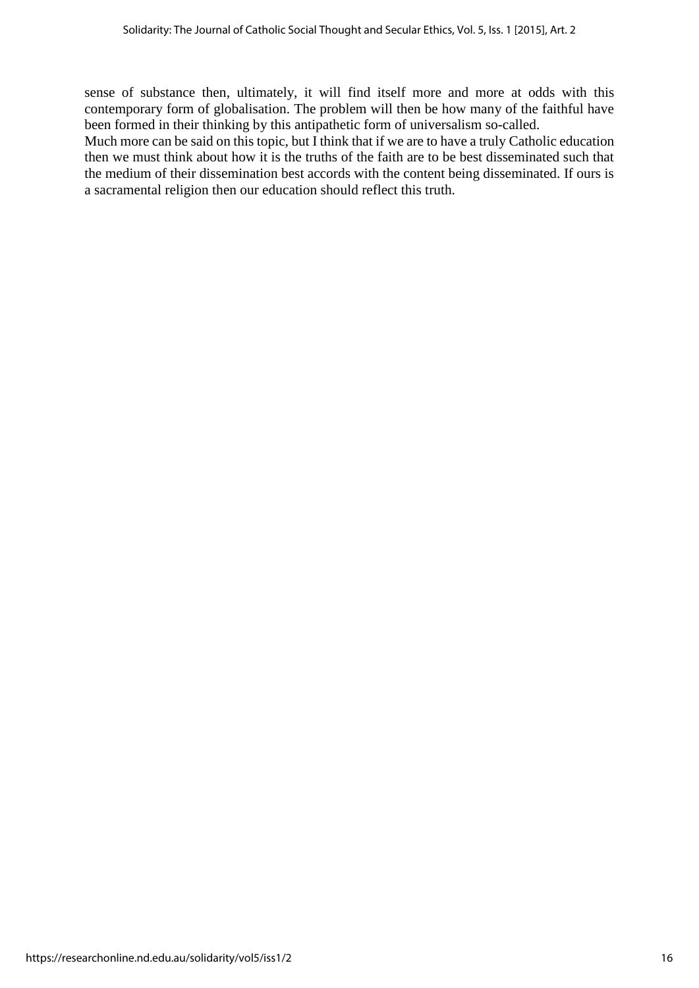sense of substance then, ultimately, it will find itself more and more at odds with this contemporary form of globalisation. The problem will then be how many of the faithful have been formed in their thinking by this antipathetic form of universalism so-called.

Much more can be said on this topic, but I think that if we are to have a truly Catholic education then we must think about how it is the truths of the faith are to be best disseminated such that the medium of their dissemination best accords with the content being disseminated. If ours is a sacramental religion then our education should reflect this truth.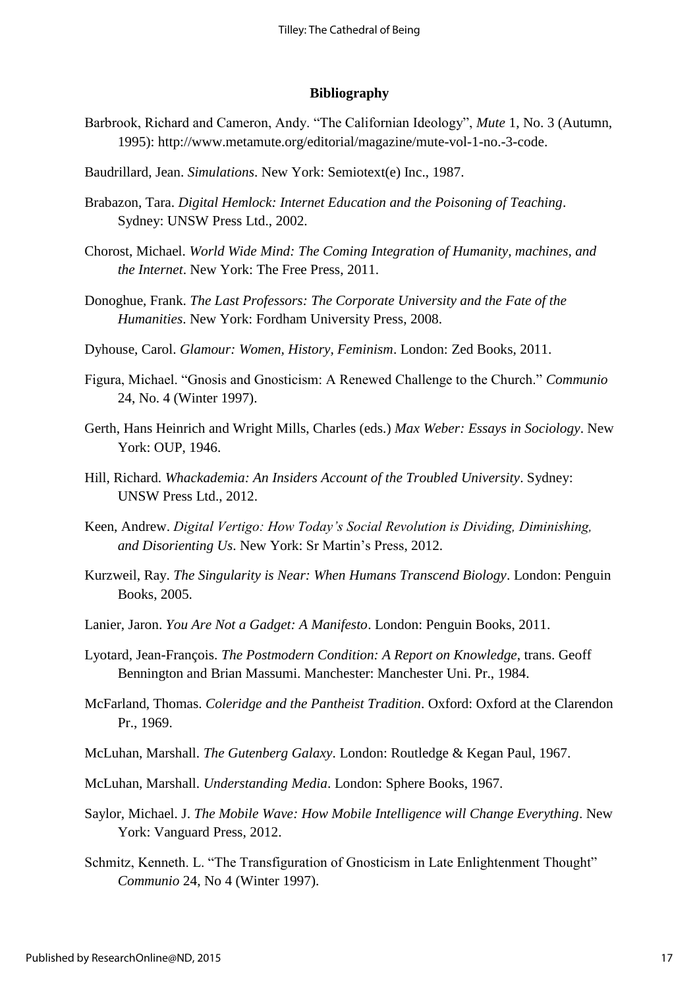#### **Bibliography**

- Barbrook, Richard and Cameron, Andy. "The Californian Ideology", *Mute* 1, No. 3 (Autumn, 1995): [http://www.metamute.org/editorial/magazine/mute-vol-1-no.-3-code.](http://www.metamute.org/editorial/magazine/mute-vol-1-no.-3-code)
- Baudrillard, Jean. *Simulations*. New York: Semiotext(e) Inc., 1987.
- Brabazon, Tara. *Digital Hemlock: Internet Education and the Poisoning of Teaching*. Sydney: UNSW Press Ltd., 2002.
- Chorost, Michael. *World Wide Mind: The Coming Integration of Humanity, machines, and the Internet*. New York: The Free Press, 2011.
- Donoghue, Frank. *The Last Professors: The Corporate University and the Fate of the Humanities*. New York: Fordham University Press, 2008.
- Dyhouse, Carol. *Glamour: Women, History, Feminism*. London: Zed Books, 2011.
- Figura, Michael. "Gnosis and Gnosticism: A Renewed Challenge to the Church." *Communio* 24, No. 4 (Winter 1997).
- Gerth, Hans Heinrich and Wright Mills, Charles (eds.) *Max Weber: Essays in Sociology*. New York: OUP, 1946.
- Hill, Richard. *Whackademia: An Insiders Account of the Troubled University*. Sydney: UNSW Press Ltd., 2012.
- Keen, Andrew. *Digital Vertigo: How Today's Social Revolution is Dividing, Diminishing, and Disorienting Us*. New York: Sr Martin's Press, 2012.
- Kurzweil, Ray. *The Singularity is Near: When Humans Transcend Biology*. London: Penguin Books, 2005.
- Lanier, Jaron. *You Are Not a Gadget: A Manifesto*. London: Penguin Books, 2011.
- Lyotard, Jean-François. *The Postmodern Condition: A Report on Knowledge*, trans. Geoff Bennington and Brian Massumi. Manchester: Manchester Uni. Pr., 1984.
- McFarland, Thomas. *Coleridge and the Pantheist Tradition*. Oxford: Oxford at the Clarendon Pr., 1969.
- McLuhan, Marshall. *The Gutenberg Galaxy*. London: Routledge & Kegan Paul, 1967.
- McLuhan, Marshall. *Understanding Media*. London: Sphere Books, 1967.
- Saylor, Michael. J. *The Mobile Wave: How Mobile Intelligence will Change Everything*. New York: Vanguard Press, 2012.
- Schmitz, Kenneth. L. "The Transfiguration of Gnosticism in Late Enlightenment Thought" *Communio* 24, No 4 (Winter 1997).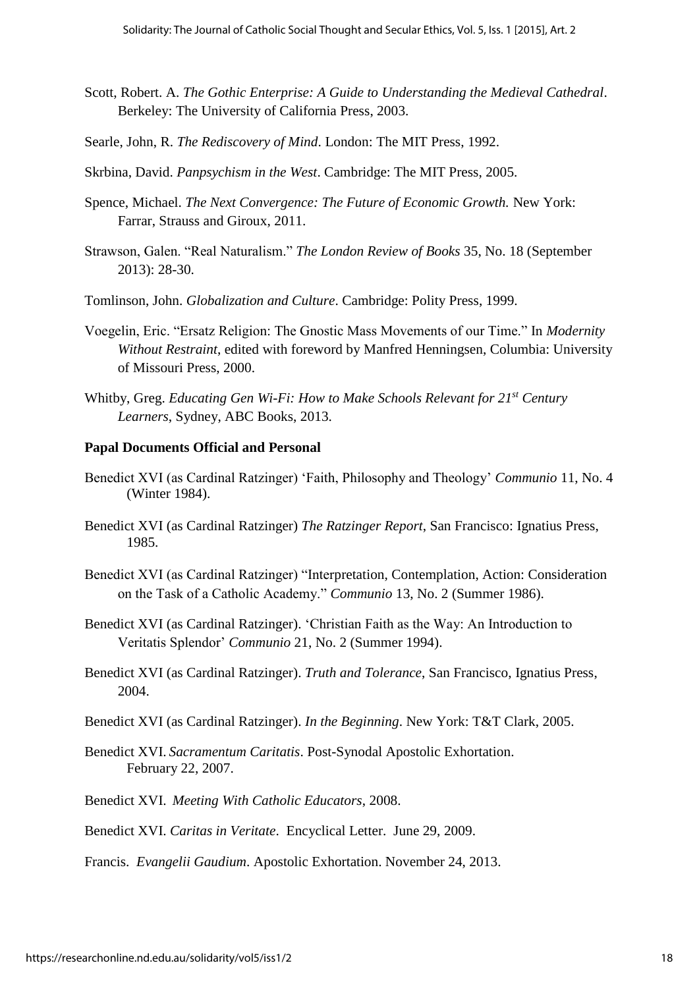- Scott, Robert. A. *The Gothic Enterprise: A Guide to Understanding the Medieval Cathedral*. Berkeley: The University of California Press, 2003.
- Searle, John, R. *The Rediscovery of Mind*. London: The MIT Press, 1992.
- Skrbina, David. *Panpsychism in the West*. Cambridge: The MIT Press, 2005.
- Spence, Michael. *The Next Convergence: The Future of Economic Growth.* New York: Farrar, Strauss and Giroux, 2011.
- Strawson, Galen. "Real Naturalism." *The London Review of Books* 35, No. 18 (September 2013): 28-30.
- Tomlinson, John. *Globalization and Culture*. Cambridge: Polity Press, 1999.
- Voegelin, Eric. "Ersatz Religion: The Gnostic Mass Movements of our Time." In *Modernity Without Restraint*, edited with foreword by Manfred Henningsen, Columbia: University of Missouri Press, 2000.
- Whitby, Greg. *Educating Gen Wi-Fi: How to Make Schools Relevant for 21st Century Learners*, Sydney, ABC Books, 2013.

## **Papal Documents Official and Personal**

- Benedict XVI (as Cardinal Ratzinger) 'Faith, Philosophy and Theology' *Communio* 11, No. 4 (Winter 1984).
- Benedict XVI (as Cardinal Ratzinger) *The Ratzinger Report*, San Francisco: Ignatius Press, 1985.
- Benedict XVI (as Cardinal Ratzinger) "Interpretation, Contemplation, Action: Consideration on the Task of a Catholic Academy." *Communio* 13, No. 2 (Summer 1986).
- Benedict XVI (as Cardinal Ratzinger). 'Christian Faith as the Way: An Introduction to Veritatis Splendor' *Communio* 21, No. 2 (Summer 1994).
- Benedict XVI (as Cardinal Ratzinger). *Truth and Tolerance*, San Francisco, Ignatius Press, 2004.
- Benedict XVI (as Cardinal Ratzinger). *In the Beginning*. New York: T&T Clark, 2005.
- Benedict XVI. *Sacramentum Caritatis*. Post-Synodal Apostolic Exhortation. February 22, 2007.
- Benedict XVI. *Meeting With Catholic Educators*, 2008.
- Benedict XVI. *Caritas in Veritate*. Encyclical Letter. June 29, 2009.

Francis. *Evangelii Gaudium*. Apostolic Exhortation. November 24, 2013.